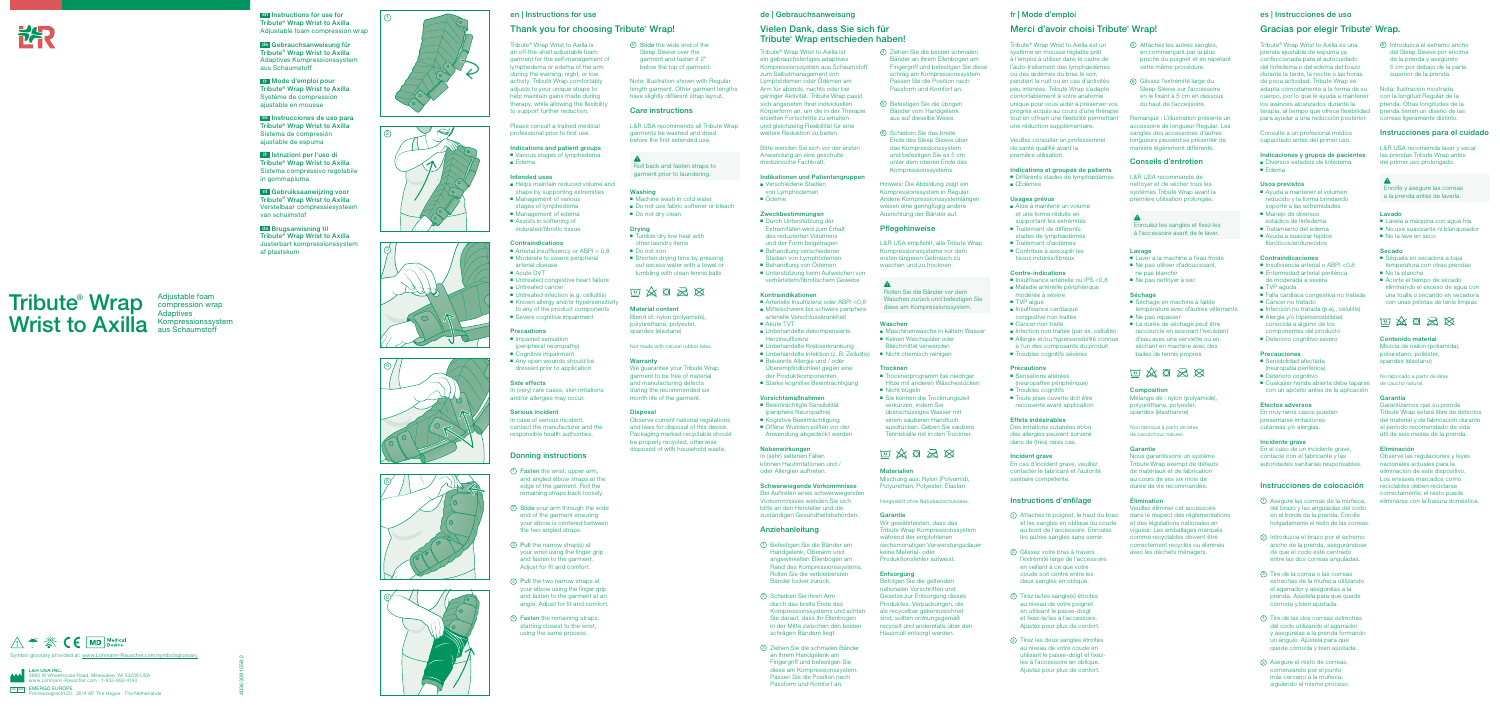4036309 1558.2

△ ← F CE MD Medical

Symbol glossary provided at: www.Lohmann-Rauscher.com/symbolsglossary

 $E$ EMERGO EUROPE<br>Prinsessegracht 20 · 2514 AP The Hague · The Netherlands

**1 en Instructions for use for**  $(1)$ Tribute® Wrap Wrist to Axilla Adjustable foam compression wrap

L&R USA INC. 3880 W Wheelhouse Road, Milwaukee, WI 53208 USA www.Lohmann-Rauscher.com · 1-855-892-4140

# en | Instructions for use

# Thank you for choosing Tribute<sup>®</sup> Wrap!

■ Various stages of lymphedema ■ Edema

Tribute® Wrap Wrist to Axilla is an off-the-shelf adjustable foam garment for the self-management of lymphedema or edema of the arm during the evening, night, or low activity. Tribute Wrap comfortably adiusts to your unique shape to help maintain gains made during therapy, while allowing the flexibility to support further reduction.

- Helps maintain reduced volume and shape by supporting extremities
- Management of various stages of lymphedema
- Management of edema
- Assists in softening of indurated/fibrotic tissue

#### **Contraindications**

- Arterial insufficiency or ABPI < 0.8
- Moderate to severe peripheral arterial disease
- Acute DVT
- Untreated congestive heart failure
- Untreated cancer
- Untreated infection (e.g. cellulitis)
- Known allergy and/or hypersensitivity to any of the product components
- Severe cognitive impairment

# **Precautions**

Please consult a trained medical professional prior to first use.

- Impaired sensation (peripheral neuropathy)
- Cognitive impairment
- Any open wounds should be dressed prior to application

# Indications and patient groups

### Intended uses

- Tumble dry low heat with other laundry items
- Do not iron
- Shorten drying time by pressing out excess water with a towel or tumbling with clean tennis balls

# $\text{W} \mathbin{\hat{\otimes}} \mathbf{G} \mathbin{\hat{\otimes}} \mathbf{G}$

#### Side effects

In (very) rare cases, skin irritations and/or allergies may occur.

#### Serious incident

In case of serious incident, contact the manufacturer and the responsible health authorities.

#### Donning instructions

Observe current national regulations and laws for disposal of this device. Packaging marked recyclable should be properly recycled, otherwise disposed of with household waste.







- 1 Fasten the wrist, upper arm, and angled elbow straps at the edge of the garment. Roll the remaining straps back loosely.
- 2 Slide your arm through the wide end of the garment ensuring your elbow is centered between the two angled straps.
- 3 Pull the narrow strap(s) at your wrist using the finger grip and fasten to the garment. Adjust for fit and comfort.
- 4 Pull the two narrow straps at your elbow using the finger grip and fasten to the garment at an angle. Adjust for fit and comfort.
- 5 Fasten the remaining straps, starting closest to the wrist, using the same process.
- Verschiedene Stadien von Lymphödemen
- Ödeme

5 Slide the wide end of the Sleep Sleeve over the garment and fasten it 2" below the top of garment.

- Arterielle Insuffizienz oder ABPI <0.8 ■ Mittelschwere bis schwere periphere
- arterielle Verschlusskrankheit ■ Akute TVT
- Unbehandelte dekompensierte Herzinsuffizienz
- Unbehandelte Krebserkrankung ■ Unbehandelte Infektion (z. B. Zellulitis)
- Bekannte Allergie und / oder Überempfindlichkeit gegen eine der Produktkomponenten
- Starke kognitive Beeinträchtigung

Note: Illustration shown with Regular length garment. Other garment lengths have slightly different strap layout.

- Beeinträchtigte Sensibilität (periphere Neuropathie)
- Kognitive Beeinträchtigung
- Offene Wunden sollten vor der Anwendung abgedeckt werden

#### Care instructions

L&R USA recommends all Tribute Wrap garments be washed and dried before the first extended use.

Roll back and fasten straps to garment prior to laundering.

#### Washing

- Machine wash in cold water ■ Do not use fabric softener or bleach
- Do not dry clean

## Drying

Material content Blend of: nylon (polyamide), polyurethane, polyester, spandex (elastane)

Not made with natural rubber latex

### Warranty

We guarantee your Tribute Wrap garment to be free of material and manufacturing defects during the recommended six month life of the garment.

#### **Disposal**

- Maschinenwäsche in kaltem Wasser ■ Keinen Weichspüler oder
- Bleichmittel verwenden
- Nicht chemisch reinigen

#### **Trocknen**

#### de | Gebrauchsanweisung

# Vielen Dank, dass Sie sich für Tribute® Wrap entschieden haben!

Befolgen Sie die geltenden nationalen Vorschriften und Gesetze zur Entsorgung dieses Produktes. Verpackungen, die als recycelbar gekennzeichnet sind, sollten ordnungsgemäß recycelt und andernfalls über den Hausmüll entsorgt werden.

Tribute® Wrap Wrist to Axilla ist ein gebrauchsfertiges adaptives Kompressionssystem aus Schaumstoff zum Selbstmanagement von Lymphödemen oder Ödemen am Arm für abends, nachts oder bei geringer Aktivität. Tribute Wrap passt sich angenehm Ihrer individuellen Körperform an, um die in der Therapie erzielten Fortschritte zu erhalten und gleichzeitig Flexibilität für eine weitere Reduktion zu bieten.

Bitte wenden Sie sich vor der ersten Anwendung an eine geschulte medizinische Fachkraft.

# Indikationen und Patientengruppen

■ Différents stades de lymphœdèmes ■ Œdèmes

# Zweckbestimmungen

- Aide à maintenir un volume et une forme réduits en
- supportant les extrémités
- Traitement de différents stades de lymphœdèmes
- Traitement d'œdèmes
- Contribue à assouplir les
- tissus indurés/fibreux
- Durch Unterstützung der Extremitäten wird zum Erhalt des reduzierten Volumens und der Form beigetragen
- Behandlung verschiedener Stadien von Lymphödemen ■ Behandlung von Ödemen
- Unterstützung beim Aufweichen von verhärtetem/fibrotischem Gewebe

## Kontraindikationen

- Sensations altérées (neuropathie périphérique)
- Troubles cognitifs
- Toute plaie ouverte doit être recouverte avant application

En cas d'incident grave, veuillez contacter le fabricant et l'autorité sanitaire compétente.

#### Vorsichtsmaßnahmen

# Nebenwirkungen

In (sehr) seltenen Fällen können Hautirritationen und / oder Allergien auftreten.

# Schwerwiegende Vorkommnisse

Bei Auftreten eines schwerwiegenden Vorkommnisses wenden Sie sich bitte an den Hersteller und die zuständigen Gesundheitsbehörden.

# Anziehanleitung

ne pas blanchir ■ Ne pas nettoyer à sec

■ Ne pas repasser

**Composition** 

■ Séchage en machine à faible température avec d'autres vêtements

■ La durée de séchage peut être raccourcie en essorant l'excédent d'eau avec une serviette ou en séchant en machine avec des balles de tennis propres

- 1 Befestigen Sie die Bänder am Handgelenk, Oberarm und angewinkelten Ellenbogen am Rand des Kompressionssystems. Rollen Sie die verbleibenden Bänder locker zurück.
- 2 Schieben Sie Ihren Arm durch das breite Ende des Kompressionssystems und achte Sie darauf, dass Ihr Ellenbogen in der Mitte zwischen den beiden schrägen Bändern liegt.
- 3 Ziehen Sie die schmalen Bänder an Ihrem Handgelenk am Fingergriff und befestigen Sie diese am Kompressionssystem. Passen Sie die Position nach Passform und Komfort an.

■ Diversos estadios de linfedema ■ Edema

- 4 Ziehen Sie die beiden schmalen Bänder an Ihrem Ellenbogen am Fingergriff und befestigen Sie diese schräg am Kompressionssystem. Passen Sie die Position nach Passform und Komfort an.
- 5 Befestigen Sie die übrigen Bänder vom Handgelenk aus auf dieselbe Weise.
- 6 Schieben Sie das breite Ende des Sleep Sleeve über das Kompressionssystem und befestigen Sie es 5 cm unter dem oberen Ende des Kompressionssystems.

■ Ayuda a suavizar tejidos fibróticos/endurecidos

> ■ Enfermedad arterial periférica de moderada a severa

■ Falla cardiaca congestiva no tratada

Precauciones ■ Sensibilidad afectada (neuropatía periférica) ■ Deterioro cognitivo

Hinweis: Die Abbildung zeigt ein Kompressionssystem in Regular. Andere Kompressionssystemlängen weisen eine geringfügig andere Ausrichtung der Bänder auf.

> ■ Cualquier herida abierta debe taparse con un apósito antes de la aplicación

# Pflegehinweise

L&R USA empfiehlt, alle Tribute Wrap Kompressionssysteme vor dem ersten längeren Gebrauch zu waschen und zu trocknen.

Rollen Sie die Bänder vor dem Waschen zurück und befestigen Sie diese am Kompressionssystem.

#### Waschen

- Trocknerprogramm bei niedriger Hitze mit anderen Wäschestücken
- Nicht bügeln ■ Sie können die Trocknungszeit verkürzen, indem Sie überschüssiges Wasser mit einem sauberen Handtuch ausdrücken. Geben Sie saubere

Tennisbälle mit in den Trockner.

# $\text{W} \mathbin{\hat{\otimes}} \mathbf{G} \mathbin{\hat{\otimes}} \mathbf{G}$

#### **Materialien**

Mischung aus: Nylon (Polyamid), Polyurethan, Polyester, Elastan

#### Hergestellt ohne Naturkautschuklatex.

#### Garantie

Wir gewährleisten, dass das Tribute Wrap Kompressionssystem während der empfohlenen sechsmonatigen Verwendungsdauer keine Material- oder Produktionsfehler aufweist.

## Entsorgung

# fr | Mode d'emploi

# Merci d'avoir choisi Tribute<sup>®</sup> Wrap!

Tribute® Wrap Wrist to Axilla est un système en mousse réglable prêt à l'emploi à utiliser dans le cadre de l'auto-traitement des lymphœdèmes ou des œdèmes du bras le soir, pendant la nuit ou en cas d'activités peu intenses. Tribute Wrap s'adapte confortablement à votre anatomie unique pour vous aider à préserver vos progrès acquis au cours d'une thérapie tout en offrant une flexibilité permettant une réduction supplémentaire.

Veuillez consulter un professionnel de santé qualifié avant la première utilisation.

#### Indications et groupes de patients

#### Usages prévus

## Contre-indications

- Insuffisance artérielle ou IPS <0,8
- Maladie artérielle périphérique modérée à sévère
- TVP aigue
- Insuffisance cardiaque
- congestive non traitée ■ Cancer non traité
- Infection non traitée (par ex. cellulite) ■ Allergie et/ou hypersensibilité connue
- à l'un des composants du produit ■ Troubles cognitifs sévères

#### Précautions

#### Effets indésirables

Des irritations cutanées et/ou des allergies peuvent survenir dans de (très) rares cas.

#### Incident grave

#### Instructions d'enfilage

- 1 Attachez le poignet, le haut du bras et les sangles en oblique du coude au bord de l'accessoire. Enroulez les autres sangles sans serrer.
- 2 Glissez votre bras à travers l'extrémité large de l'accessoire en veillant à ce que votre coude soit centré entre les deux sangles en oblique.
- 3 Tirez la/les sangle(s) étroites au niveau de votre poignet en utilisant le passe-doigt et fixez-la/les à l'accessoire. Ajustez pour plus de confort.
- 4 Tirez les deux sangles étroites au niveau de votre coude en utilisant le passe-doigt et fixezles à l'accessoire en oblique. Ajustez pour plus de confort.

5 Attachez les autres sangles, en commençant par la plus proche du poignet et en répétant cette même procédure. 6 Glissez l'extrémité large du Sleep Sleeve sur l'accessoire en le fixant à 5 cm en dessous du haut de l'accessoire. Remarque : L'illustration présente un accessoire de longueur Regular. Les sangles des accessoires d'autres longueurs peuvent se présenter de manière légèrement différente. Conseils d'entretien L&R USA recommande de nettoyer et de sécher tous les systémes Tribute Wrap avant la première utilisation prolongée.

■ Ne pas utiliser d'adoucissant, Contraindicaciones ■ Insuficiencia arterial o ABPI <0.8

Enroulez les sangles et fixez-les à l'accessoire avant de le laver.

Lavage

Séchage

# ■ Laver à la machine à l'eau froide

Mélange de : nylon (polyamide), polyuréthane, polyester, spandex (élasthanne) Non fabriqué à partir de latex de caoutchouc naturel.

四次口为及

Garantie

Nous garantissons un système Tribute Wrap exempt de défauts de matériaux et de fabrication au cours de ses six mois de durée de vie recommandée.

Élimination

Veuillez éliminer cet accessoire dans le respect des réglementations et des législations nationales en vigueur. Les emballages marqués comme recyclables doivent être correctement recyclés ou éliminés avec les déchets ménagers.

### es | Instrucciones de uso

# Gracias por elegir Tribute<sup>®</sup> Wrap.

Tribute® Wrap Wrist to Axilla es una prenda ajustable de espuma ya confeccionada para el autocuidado del linfedema o del edema del brazo durante la tarde, la noche o las horas de poca actividad. Tribute Wrap se adapta cómodamente a la forma de su cuerpo, por lo que le ayuda a mantener los avances alcanzados durante la

terapia, al tiempo que ofrece flexibilidad

para ayudar a una reducción posterior. Consulte a un profesional médico capacitado antes del primer uso.

# Indicaciones y grupos de pacientes

#### Usos previstos

- Ayuda a mantener el volumen reducido y la forma brindando soporte a las extremidades
	- Manejo de diversos estadios de linfedema
- Tratamiento del edema

■ TVP aguda

Efectos adversos En muy raros casos pueden presentarse irritaciones cutáneas y/o alergias. Incidente grave

■ Cáncer no tratado

En el caso de un incidente grave, contacte con el fabricante y las autoridades sanitarias responsables.

Instrucciones de colocación 1 Asegure las correas de la muñeca, del brazo y las anguladas del codo en el borde de la prenda. Enrolle holgadamente el resto de las correas. 2 Introduzca el brazo por el extremo ancho de la prenda, asegurándose de que el codo esté centrado entre las dos correas anguladas. 3 Tire de la correa o las correas estrechas de la muñeca utilizando el agarrador y asegúrelas a la prenda. Ajústela para que quede cómoda y bien ajustada. 4 Tire de las dos correas estrechas del codo utilizando el agarrador y asegúrelas a la prenda formando un ángulo. Ajústela para que quede cómoda y bien ajustada.

■ Infección no tratada (p.ei., celulitis) ■ Alergia y/o hipersensibilidad conocida a alguno de los componentes del producto ■ Deterioro cognitivo severo

5 Asegure el resto de correas, comenzando por el punto más cercano a la muñeca, siguiendo el mismo proceso.

6 Introduzca el extremo ancho del Sleep Sleeve por encima de la prenda y asegúrelo 5 cm por debajo de la parte superior de la prenda. Nota: Ilustración mostrada con la longitud Regular de la prenda. Otras longitudes de la prenda tienen un diseño de las correas ligeramente distinto.

las prendas Tribute Wrap antes del primer uso prolongado.

Enrolle y asegure las correas a la prenda antes de lavarla.

Lavado

Secado

■ No la lave en seco

■ No la planche

■ Séquela en secadora a baja temperatura con otras prendas

■ Acorte el tiempo de secado

 $\text{W} \mathbin{\hat{\otimes}} \mathbf{G} \mathbin{\hat{\otimes}} \mathbf{G}$ 

Instrucciones para el cuidado L&R USA recomienda lavar y secar ■ Lávela a máquina con agua fría ■ No use suavizante ni blanqueador eliminando el exceso de agua con una toalla o secando en secadora con unas pelotas de tenis limpias Tribute Wrap estará libre de defectos del material y de fabricación durante

Contenido material Mezcla de nailon (poliamida) poliuretano, poliéster, spandex (elastano)

No fabricado a partir de látex de caucho natural. Garantía

Garantizamos que su prenda

el periodo recomendado de vida útil de seis meses de la prenda.

Eliminación

Observe las regulaciones y leyes nacionales actuales para la eliminación de este dispositivo. Los envases marcados como reciclables deben reciclarse correctamente; el resto puede eliminarse con la basura doméstica.



Tribute® Wrap Wrist to Axilla

Adjustable foam compression wrap Adaptives Kompressionssystem aus Schaumstoff











de Gebrauchsanweisung für Tribute® Wrap Wrist to Axilla Adaptives Kompressionssystem aus Schaumstoff

fr Mode d'emploi pour Tribute® Wrap Wrist to Axilla Système de compression ajustable en mousse

es Instrucciones de uso para Tribute® Wrap Wrist to Axilla Sistema de compresión ajustable de espuma

it Istruzioni per l'uso di Tribute® Wrap Wrist to Axilla Sistema compressivo regolabile in gommapiuma

nl Gebruiksaanwijzing voor Tribute® Wrap Wrist to Axilla Verstelbaar compressiesysteem van schuimstof

da Brugsanvisning til Tribute® Wrap Wrist to Axilla Justerbart kompressionssystem af plastskum